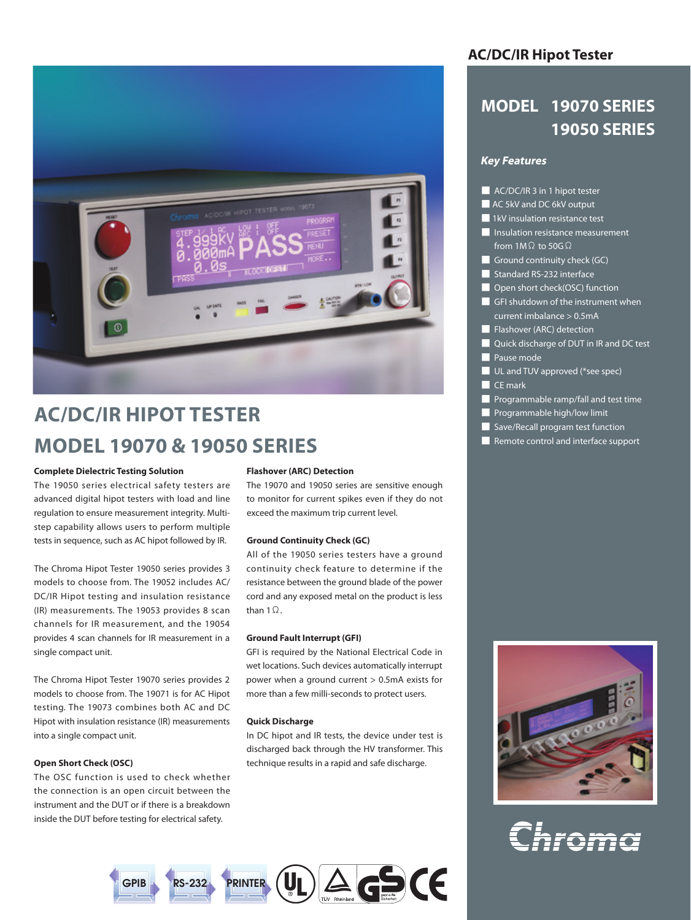

# **AC/DC/IR HIPOT TESTER MODEL 19070 & 19050 SERIES**

#### **Complete Dielectric Testing Solution**

The 19050 series electrical safety testers are advanced digital hipot testers with load and line regulation to ensure measurement integrity. Multistep capability allows users to perform multiple tests in sequence, such as AC hipot followed by IR.

The Chroma Hipot Tester 19050 series provides 3 models to choose from. The 19052 includes AC/ DC/IR Hipot testing and insulation resistance (IR) measurements. The 19053 provides 8 scan channels for IR measurement, and the 19054 provides 4 scan channels for IR measurement in a single compact unit.

The Chroma Hipot Tester 19070 series provides 2 models to choose from. The 19071 is for AC Hipot testing. The 19073 combines both AC and DC Hipot with insulation resistance (IR) measurements into a single compact unit.

#### **Open Short Check (OSC)**

The OSC function is used to check whether the connection is an open circuit between the instrument and the DUT or if there is a breakdown inside the DUT before testing for electrical safety.

#### **Flashover (ARC) Detection**

The 19070 and 19050 series are sensitive enough to monitor for current spikes even if they do not exceed the maximum trip current level.

#### **Ground Continuity Check (GC)**

All of the 19050 series testers have a ground continuity check feature to determine if the resistance between the ground blade of the power cord and any exposed metal on the product is less than  $1\Omega$ .

#### **Ground Fault Interrupt (GFI)**

GFI is required by the National Electrical Code in wet locations. Such devices automatically interrupt power when a ground current > 0.5mA exists for more than a few milli-seconds to protect users.

#### **Quick Discharge**

In DC hipot and IR tests, the device under test is discharged back through the HV transformer. This technique results in a rapid and safe discharge.



# **AC/DC/IR Hipot Tester**

# **MODEL 19070 SERIES 19050 SERIES**

# **Key Features**

- AC/DC/IR 3 in 1 hipot tester
- AC 5kV and DC 6kV output
- 1kV insulation resistance test
- Insulation resistance measurement from  $1M\Omega$  to 50G $\Omega$
- Ground continuity check (GC)
- Standard RS-232 interface
- Open short check(OSC) function
- GFI shutdown of the instrument when current imbalance > 0.5mA
- Flashover (ARC) detection
- Quick discharge of DUT in IR and DC test
- Pause mode
- UL and TUV approved (\*see spec)
- CE mark
- Programmable ramp/fall and test time
- Programmable high/low limit
- Save/Recall program test function
- Remote control and interface support



# Chroma

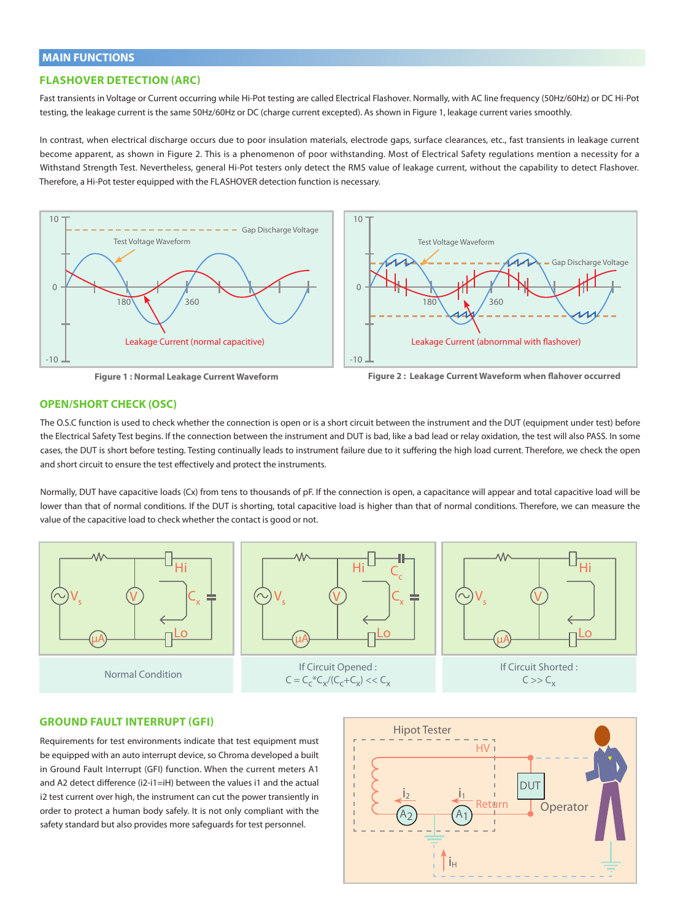# **MAIN FUNCTIONS**

## **FLASHOVER DETECTION (ARC)**

Fast transients in Voltage or Current occurring while Hi-Pot testing are called Electrical Flashover. Normally, with AC line frequency (50Hz/60Hz) or DC Hi-Pot testing, the leakage current is the same 50Hz/60Hz or DC (charge current excepted). As shown in Figure 1, leakage current varies smoothly.

In contrast, when electrical discharge occurs due to poor insulation materials, electrode gaps, surface clearances, etc., fast transients in leakage current become apparent, as shown in Figure 2. This is a phenomenon of poor withstanding. Most of Electrical Safety regulations mention a necessity for a Withstand Strength Test. Nevertheless, general Hi-Pot testers only detect the RMS value of leakage current, without the capability to detect Flashover. Therefore, a Hi-Pot tester equipped with the FLASHOVER detection function is necessary.



**Figure 1 : Normal Leakage Current Waveform**



# **OPEN/SHORT CHECK (OSC)**

The O.S.C function is used to check whether the connection is open or is a short circuit between the instrument and the DUT (equipment under test) before the Electrical Safety Test begins. If the connection between the instrument and DUT is bad, like a bad lead or relay oxidation, the test will also PASS. In some cases, the DUT is short before testing. Testing continually leads to instrument failure due to it suffering the high load current. Therefore, we check the open and short circuit to ensure the test effectively and protect the instruments.

Normally, DUT have capacitive loads (Cx) from tens to thousands of pF. If the connection is open, a capacitance will appear and total capacitive load will be lower than that of normal conditions. If the DUT is shorting, total capacitive load is higher than that of normal conditions. Therefore, we can measure the value of the capacitive load to check whether the contact is good or not.



## **GROUND FAULT INTERRUPT (GFI)**

Requirements for test environments indicate that test equipment must be equipped with an auto interrupt device, so Chroma developed a built in Ground Fault Interrupt (GFI) function. When the current meters A1 and A2 detect difference (i2-i1=iH) between the values i1 and the actual i2 test current over high, the instrument can cut the power transiently in order to protect a human body safely. It is not only compliant with the safety standard but also provides more safeguards for test personnel.

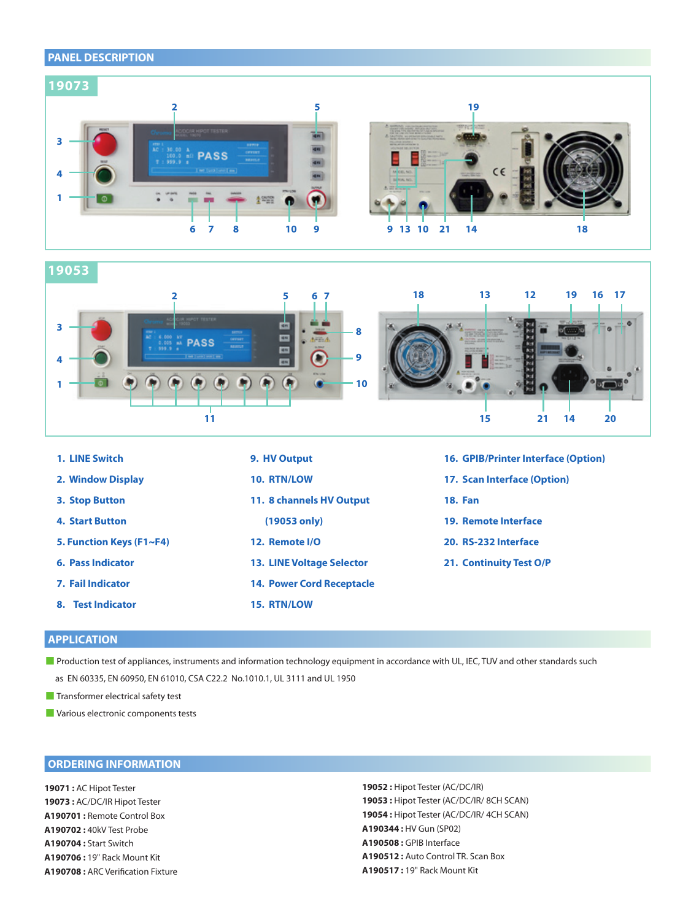# **PANEL DESCRIPTION**



**19053**



| 1. LINE Switch           | 9. HV Output                     | <b>16. GPIB/Printer Interface (Option)</b> |
|--------------------------|----------------------------------|--------------------------------------------|
| 2. Window Display        | <b>10. RTN/LOW</b>               | 17. Scan Interface (Option)                |
| 3. Stop Button           | 11. 8 channels HV Output         | <b>18. Fan</b>                             |
| <b>4. Start Button</b>   | $(19053 \text{ only})$           | 19. Remote Interface                       |
| 5. Function Keys (F1~F4) | 12. Remote I/O                   | 20. RS-232 Interface                       |
| <b>6. Pass Indicator</b> | <b>13. LINE Voltage Selector</b> | 21. Continuity Test O/P                    |
| <b>7. Fail Indicator</b> | <b>14. Power Cord Receptacle</b> |                                            |
| 8. Test Indicator        | <b>15. RTN/LOW</b>               |                                            |

# **APPLICATION**

■ Production test of appliances, instruments and information technology equipment in accordance with UL, IEC, TUV and other standards such as EN 60335, EN 60950, EN 61010, CSA C22.2 No.1010.1, UL 3111 and UL 1950

**Transformer electrical safety test** 

■ Various electronic components tests

# **ORDERING INFORMATION**

**19071 :** AC Hipot Tester **19073 :** AC/DC/IR Hipot Tester **A190701 :** Remote Control Box **A190702 :** 40kV Test Probe **A190704 :** Start Switch **A190706 :** 19" Rack Mount Kit **A190708 :** ARC Verification Fixture **19052 :** Hipot Tester (AC/DC/IR) **19053 :** Hipot Tester (AC/DC/IR/ 8CH SCAN) **19054 :** Hipot Tester (AC/DC/IR/ 4CH SCAN) **A190344 :** HV Gun (SP02) **A190508 :** GPIB Interface **A190512 :** Auto Control TR. Scan Box **A190517 :** 19" Rack Mount Kit